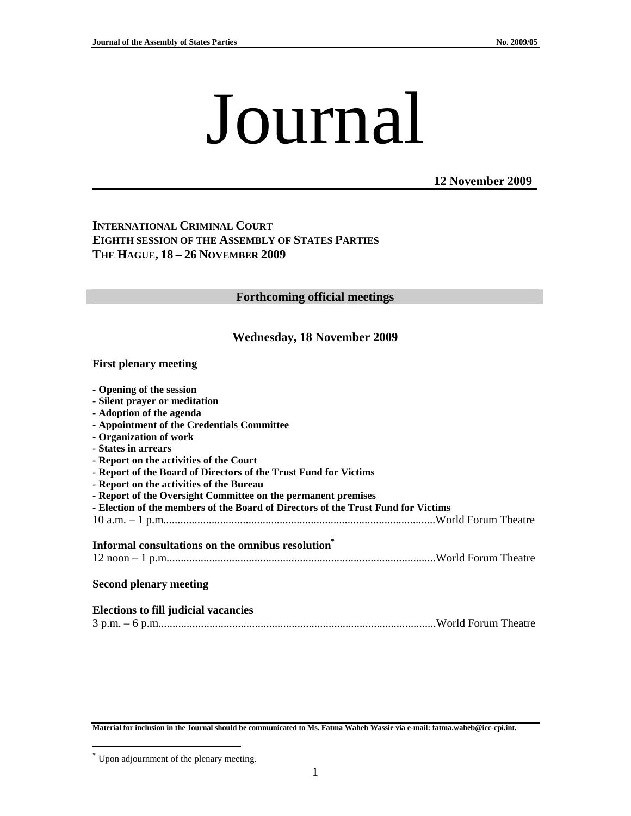# Journal

**12 November 2009**

## **INTERNATIONAL CRIMINAL COURT EIGHTH SESSION OF THE ASSEMBLY OF STATES PARTIES THE HAGUE, 18 – 26 NOVEMBER 2009**

#### **Forthcoming official meetings**

## **Wednesday, 18 November 2009**

#### **First plenary meeting**

| - Opening of the session                                                          |  |
|-----------------------------------------------------------------------------------|--|
| - Silent prayer or meditation                                                     |  |
| - Adoption of the agenda                                                          |  |
| - Appointment of the Credentials Committee                                        |  |
| - Organization of work                                                            |  |
| - States in arrears                                                               |  |
| - Report on the activities of the Court                                           |  |
| - Report of the Board of Directors of the Trust Fund for Victims                  |  |
| - Report on the activities of the Bureau                                          |  |
| - Report of the Oversight Committee on the permanent premises                     |  |
| - Election of the members of the Board of Directors of the Trust Fund for Victims |  |
|                                                                                   |  |
|                                                                                   |  |
| Informal consultations on the omnibus resolution <sup>*</sup>                     |  |
|                                                                                   |  |
|                                                                                   |  |
| <b>Second plenary meeting</b>                                                     |  |
|                                                                                   |  |
|                                                                                   |  |
| <b>Elections to fill judicial vacancies</b>                                       |  |
|                                                                                   |  |

**Material for inclusion in the Journal should be communicated to Ms. Fatma Waheb Wassie via e-mail: fatma.waheb@icc-cpi.int.** 

 $\overline{a}$ 

<sup>\*</sup> Upon adjournment of the plenary meeting.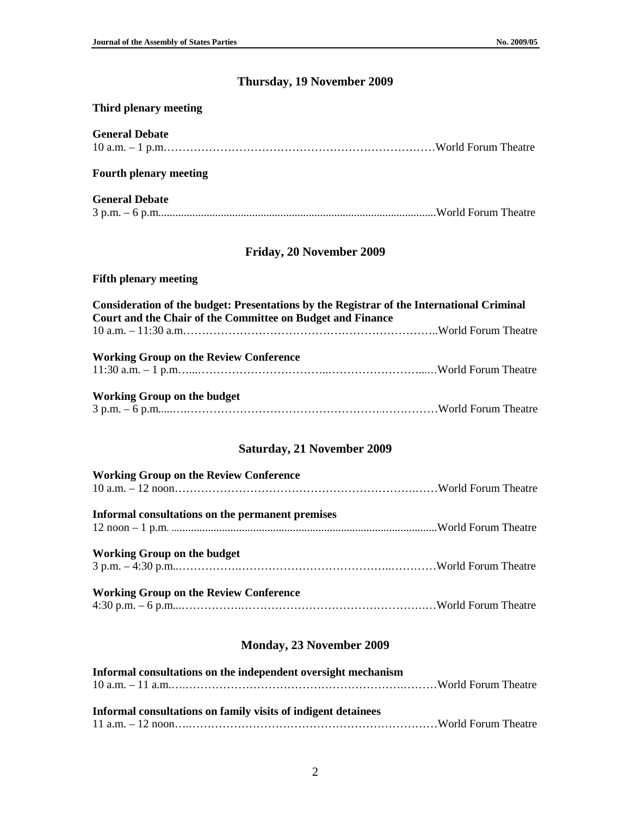## **Thursday, 19 November 2009**

## **Third plenary meeting**

| <b>General Debate</b>                                                                                                                                   |  |
|---------------------------------------------------------------------------------------------------------------------------------------------------------|--|
| <b>Fourth plenary meeting</b>                                                                                                                           |  |
| <b>General Debate</b>                                                                                                                                   |  |
| Friday, 20 November 2009                                                                                                                                |  |
| <b>Fifth plenary meeting</b>                                                                                                                            |  |
| Consideration of the budget: Presentations by the Registrar of the International Criminal<br>Court and the Chair of the Committee on Budget and Finance |  |
| <b>Working Group on the Review Conference</b>                                                                                                           |  |
| <b>Working Group on the budget</b>                                                                                                                      |  |
| <b>Saturday, 21 November 2009</b>                                                                                                                       |  |
| <b>Working Group on the Review Conference</b>                                                                                                           |  |
| Informal consultations on the permanent premises                                                                                                        |  |
| <b>Working Group on the budget</b>                                                                                                                      |  |
| <b>Working Group on the Review Conference</b>                                                                                                           |  |

4:30 p.m. – 6 p.m...…………….………………………………………….…World Forum Theatre

## **Monday, 23 November 2009**

| Informal consultations on the independent oversight mechanism |  |
|---------------------------------------------------------------|--|
|                                                               |  |
|                                                               |  |
| Informal consultations on family visits of indigent detainees |  |
|                                                               |  |
|                                                               |  |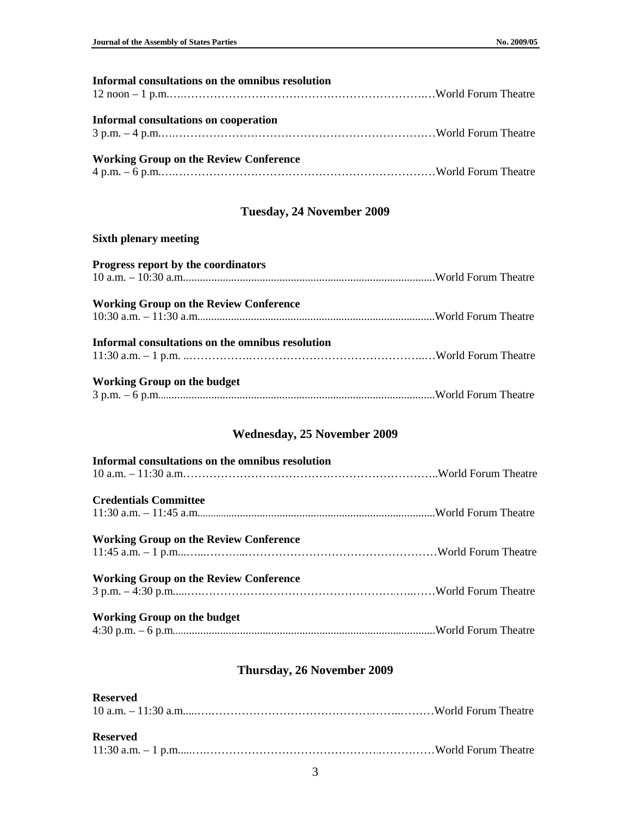| Informal consultations on the omnibus resolution |  |
|--------------------------------------------------|--|
|                                                  |  |
| <b>Informal consultations on cooperation</b>     |  |
|                                                  |  |
| <b>Working Group on the Review Conference</b>    |  |
|                                                  |  |

# **Tuesday, 24 November 2009**

#### **Sixth plenary meeting**

| Progress report by the coordinators              |  |
|--------------------------------------------------|--|
| <b>Working Group on the Review Conference</b>    |  |
| Informal consultations on the omnibus resolution |  |
| <b>Working Group on the budget</b>               |  |

# **Wednesday, 25 November 2009**

| Informal consultations on the omnibus resolution |  |
|--------------------------------------------------|--|
| <b>Credentials Committee</b>                     |  |
|                                                  |  |
| <b>Working Group on the Review Conference</b>    |  |
|                                                  |  |
| <b>Working Group on the Review Conference</b>    |  |
|                                                  |  |
| Working Group on the budget                      |  |
|                                                  |  |

# **Thursday, 26 November 2009**

#### **Reserved**

| <b>Reserved</b> |  |
|-----------------|--|
|                 |  |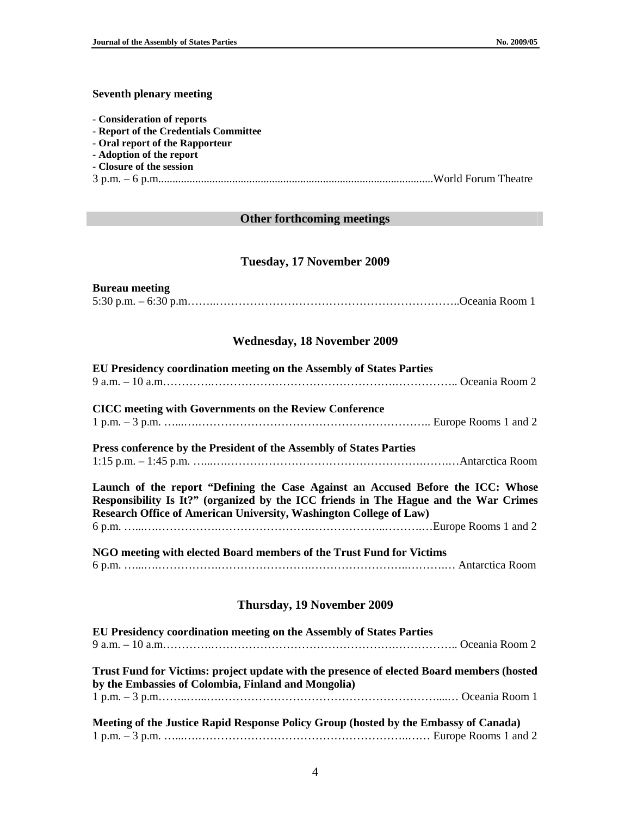#### **Seventh plenary meeting**

- **Consideration of reports**
- **Report of the Credentials Committee**
- **Oral report of the Rapporteur**
- **Adoption of the report**
- **Closure of the session**
- 3 p.m. 6 p.m.................................................................................................World Forum Theatre

#### **Other forthcoming meetings**

## **Tuesday, 17 November 2009**

#### **Bureau meeting**  5:30 p.m. – 6:30 p.m……..………………………………………………………..Oceania Room 1

## **Wednesday, 18 November 2009**

| EU Presidency coordination meeting on the Assembly of States Parties                                                                                                                                                                           |  |
|------------------------------------------------------------------------------------------------------------------------------------------------------------------------------------------------------------------------------------------------|--|
|                                                                                                                                                                                                                                                |  |
|                                                                                                                                                                                                                                                |  |
| <b>CICC</b> meeting with Governments on the Review Conference                                                                                                                                                                                  |  |
|                                                                                                                                                                                                                                                |  |
| Press conference by the President of the Assembly of States Parties                                                                                                                                                                            |  |
|                                                                                                                                                                                                                                                |  |
|                                                                                                                                                                                                                                                |  |
| Launch of the report "Defining the Case Against an Accused Before the ICC: Whose<br>Responsibility Is It?" (organized by the ICC friends in The Hague and the War Crimes<br>Research Office of American University, Washington College of Law) |  |
|                                                                                                                                                                                                                                                |  |
| NGO meeting with elected Board members of the Trust Fund for Victims                                                                                                                                                                           |  |
| Thursday, 19 November 2009                                                                                                                                                                                                                     |  |
| EU Presidency coordination meeting on the Assembly of States Parties                                                                                                                                                                           |  |
|                                                                                                                                                                                                                                                |  |
|                                                                                                                                                                                                                                                |  |
| Trust Fund for Victims: project update with the presence of elected Board members (hosted<br>by the Embassies of Colombia, Finland and Mongolia)                                                                                               |  |
|                                                                                                                                                                                                                                                |  |
| Meeting of the Justice Rapid Response Policy Group (hosted by the Embassy of Canada)                                                                                                                                                           |  |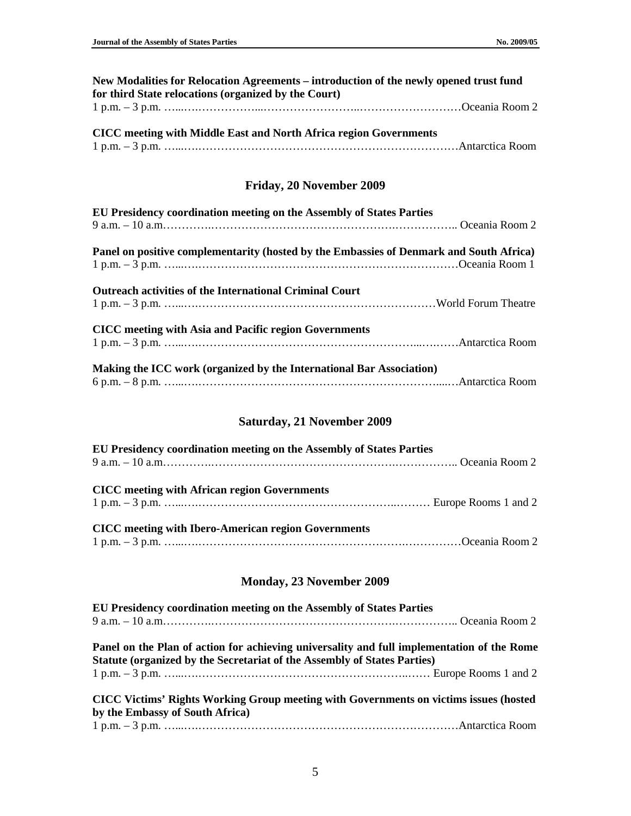| New Modalities for Relocation Agreements – introduction of the newly opened trust fund |  |
|----------------------------------------------------------------------------------------|--|
| for third State relocations (organized by the Court)                                   |  |
|                                                                                        |  |

| <b>CICC</b> meeting with Middle East and North Africa region Governments |  |
|--------------------------------------------------------------------------|--|
|                                                                          |  |

# **Friday, 20 November 2009**

| EU Presidency coordination meeting on the Assembly of States Parties                    |  |
|-----------------------------------------------------------------------------------------|--|
|                                                                                         |  |
| Panel on positive complementarity (hosted by the Embassies of Denmark and South Africa) |  |
|                                                                                         |  |
| <b>Outreach activities of the International Criminal Court</b>                          |  |
|                                                                                         |  |
| <b>CICC</b> meeting with Asia and Pacific region Governments                            |  |
|                                                                                         |  |
| Making the ICC work (organized by the International Bar Association)                    |  |
|                                                                                         |  |

# **Saturday, 21 November 2009**

| EU Presidency coordination meeting on the Assembly of States Parties |  |
|----------------------------------------------------------------------|--|
| <b>CICC</b> meeting with African region Governments                  |  |
| <b>CICC</b> meeting with Ibero-American region Governments           |  |

# **Monday, 23 November 2009**

| EU Presidency coordination meeting on the Assembly of States Parties                                                                                                   |  |
|------------------------------------------------------------------------------------------------------------------------------------------------------------------------|--|
|                                                                                                                                                                        |  |
| Panel on the Plan of action for achieving universality and full implementation of the Rome<br>Statute (organized by the Secretariat of the Assembly of States Parties) |  |
|                                                                                                                                                                        |  |
| CICC Victims' Rights Working Group meeting with Governments on victims issues (hosted<br>by the Embassy of South Africa)                                               |  |
|                                                                                                                                                                        |  |